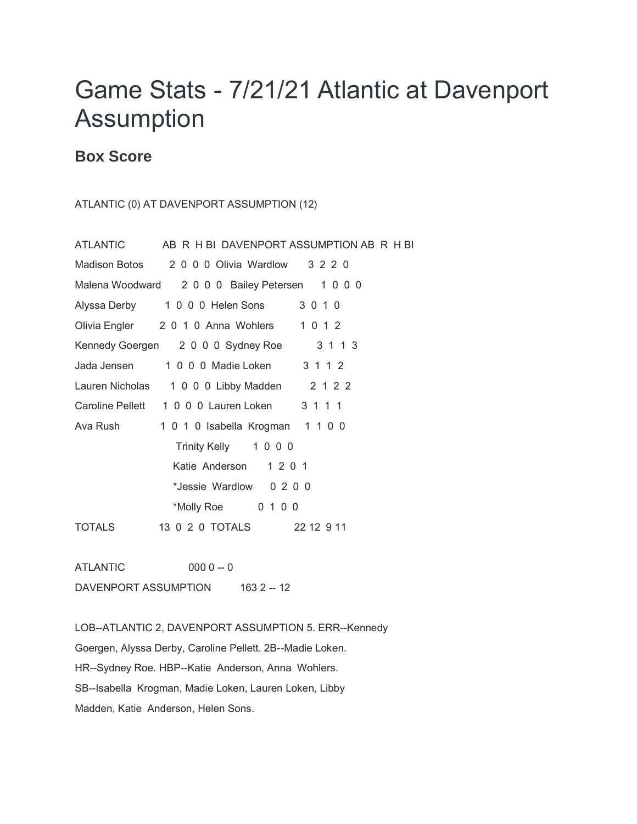## Game Stats - 7/21/21 Atlantic at Davenport Assumption

## **Box Score**

## ATLANTIC (0) AT DAVENPORT ASSUMPTION (12)

| <b>ATLANTIC</b> | AB R H BI DAVENPORT ASSUMPTION AB R H BI      |            |
|-----------------|-----------------------------------------------|------------|
|                 | Madison Botos 2000 Olivia Wardlow 3220        |            |
|                 | Malena Woodward 2000 Bailey Petersen 1000     |            |
|                 | Alyssa Derby 1 0 0 0 Helen Sons               | 3 0 1 0    |
|                 | Olivia Engler 2 0 1 0 Anna Wohlers            | 1 0 1 2    |
|                 | Kennedy Goergen 2000 Sydney Roe               | 3 1 1 3    |
| Jada Jensen     | 1 0 0 0 Madie Loken                           | 3 1 1 2    |
|                 | Lauren Nicholas 1 0 0 0 Libby Madden 2 1 2 2  |            |
|                 | Caroline Pellett 1 0 0 0 Lauren Loken 3 1 1 1 |            |
| Ava Rush i      | 1 0 1 0 Isabella Krogman 1 1 0 0              |            |
|                 | Trinity Kelly 1000                            |            |
|                 | Katie Anderson 1 2 0 1                        |            |
|                 | *Jessie Wardlow 0 2 0 0                       |            |
|                 | *Molly Roe 0 1 0 0                            |            |
| TOTALS          | 13 0 2 0 TOTALS                               | 22 12 9 11 |
|                 |                                               |            |

ATLANTIC 000 0 -- 0 DAVENPORT ASSUMPTION 163 2 -- 12

LOB--ATLANTIC 2, DAVENPORT ASSUMPTION 5. ERR--Kennedy Goergen, Alyssa Derby, Caroline Pellett. 2B--Madie Loken. HR--Sydney Roe. HBP--Katie Anderson, Anna Wohlers. SB--Isabella Krogman, Madie Loken, Lauren Loken, Libby Madden, Katie Anderson, Helen Sons.